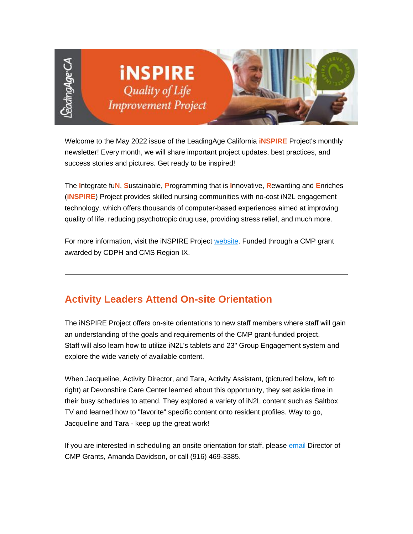

Welcome to the May 2022 issue of the LeadingAge California **iNSPIRE** Project's monthly newsletter! Every month, we will share important project updates, best practices, and success stories and pictures. Get ready to be inspired!

The **I**ntegrate fu**N**, **S**ustainable, **P**rogramming that is **I**nnovative, **R**ewarding and **E**nriches (**iNSPIRE**) Project provides skilled nursing communities with no-cost iN2L engagement technology, which offers thousands of computer-based experiences aimed at improving quality of life, reducing psychotropic drug use, providing stress relief, and much more.

For more information, visit the iNSPIRE Project [website.](https://nam11.safelinks.protection.outlook.com/?url=https%3A%2F%2Furldefense.proofpoint.com%2Fv2%2Furl%3Fu%3Dhttps-3A__u6486279.ct.sendgrid.net_ls_click-3Fupn-3DhxRT-2D2BaJEwPX7D4KE9buaoAg5Brfv2cN8A5e1JC-2D2BqxYPD-2D2BDP8Isd3kVAFaGTmYXsFIOf-2D2FulD4821JisBPAUKPeQ-2D3D-2D3Dbzlo-5FynjBnrLOJw6JesCQaGcSU1U4FraFfNtAbtcdLdsaHlkBDiFVMUz2TmDV3khhnfdiNk2F-2D2BHi29Spr3KgAvp-2D2Bxk5fKwV1uOmS0gy7y1pyBYHwbHct4sXSzIXid0PvI8-2D2BdGKcG3nh5-2D2FBq3UTZe0Nr9wlr9apH-2D2F6CSeCRicifYBu8vBWuAvUpIkLsYL9j68p-2D2BjZI-2D2BwjwIziPMnTPWW7f9HgQobCcpJIhTrZXcDsu-2D2BHoekemDviuNombV7zBXGJ1j9nNLcvUN84ya8WB95ulVBkt-2D2B6-2D2BPnblv5P7ytbJlzm8nlrqCMWBc3ZTgi3FmQRT-2D2F9aY9WCX0FgLcctiXyPIId-2D2BdWR6wlXaRJG-2D2Bbyp5zEyqKRIqdlGy-2D2FKfxrO-2D2BwONFKnMlKOSuVsCDgY1DHmyF4zPy8ruUykxm6i5O30gVKGV0IrMQJUcQgIZ0y0GjOxxhqU3QlHmATBdhNjyvd-2D2BAk2wLjH91n1Q-2D3D-2D3D%26d%3DDwMFaQ%26c%3DeuGZstcaTDllvimEN8b7jXrwqOf-v5A_CdpgnVfiiMM%26r%3DCM7MWym_2QJked50eM9_tuQX_W_WM02rgeqNRfkw_6I%26m%3DaT3Y_fKkL1P3h-3H3_P0ZztUaU0EqhCrhPL5j5h8Hr8%26s%3DG0X-bBNWL60EQzKcE5l37QpEHR8MzP0_L1EGNKrk0-Y%26e%3D&data=05%7C01%7Cadavidson%40leadingageca.org%7Cd0189df5fad3420551d408da38167e05%7C0d860a7502b14b43954fe1205876f72f%7C0%7C0%7C637883966544287458%7CUnknown%7CTWFpbGZsb3d8eyJWIjoiMC4wLjAwMDAiLCJQIjoiV2luMzIiLCJBTiI6Ik1haWwiLCJXVCI6Mn0%3D%7C3000%7C%7C%7C&sdata=CESItgE8a3fsCPuu1kd7iKXD%2B82tzJT8hoj49enEqmo%3D&reserved=0) Funded through a CMP grant awarded by CDPH and CMS Region IX.

## **Activity Leaders Attend On-site Orientation**

The iNSPIRE Project offers on-site orientations to new staff members where staff will gain an understanding of the goals and requirements of the CMP grant-funded project. Staff will also learn how to utilize iN2L's tablets and 23" Group Engagement system and explore the wide variety of available content.

When Jacqueline, Activity Director, and Tara, Activity Assistant, (pictured below, left to right) at Devonshire Care Center learned about this opportunity, they set aside time in their busy schedules to attend. They explored a variety of iN2L content such as Saltbox TV and learned how to "favorite" specific content onto resident profiles. Way to go, Jacqueline and Tara - keep up the great work!

If you are interested in scheduling an onsite orientation for staff, please [email](mailto:adavidson@leadingageca.org) Director of CMP Grants, Amanda Davidson, or call (916) 469-3385.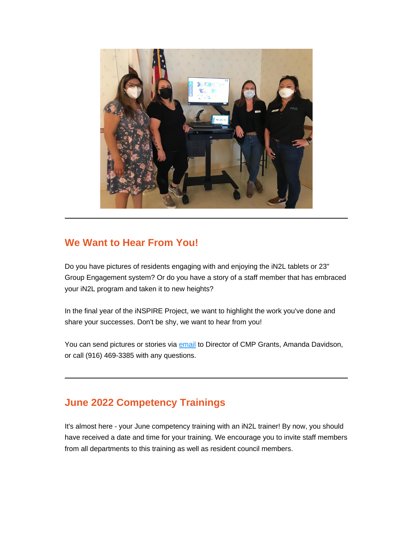

## **We Want to Hear From You!**

Do you have pictures of residents engaging with and enjoying the iN2L tablets or 23" Group Engagement system? Or do you have a story of a staff member that has embraced your iN2L program and taken it to new heights?

In the final year of the iNSPIRE Project, we want to highlight the work you've done and share your successes. Don't be shy, we want to hear from you!

You can send pictures or stories via [email](mailto:adavidson@leadingageca.org) to Director of CMP Grants, Amanda Davidson, or call (916) 469-3385 with any questions.

# **June 2022 Competency Trainings**

It's almost here - your June competency training with an iN2L trainer! By now, you should have received a date and time for your training. We encourage you to invite staff members from all departments to this training as well as resident council members.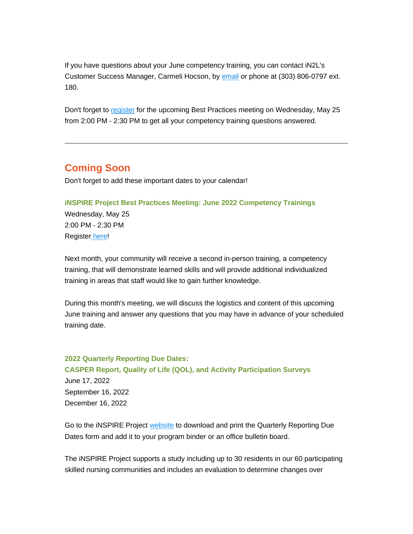If you have questions about your June competency training, you can contact iN2L's Customer Success Manager, Carmeli Hocson, by [email](mailto:chocson@in2l.com) or phone at (303) 806-0797 ext. 180.

Don't forget to [register](https://nam11.safelinks.protection.outlook.com/?url=https%3A%2F%2Furldefense.proofpoint.com%2Fv2%2Furl%3Fu%3Dhttps-3A__u6486279.ct.sendgrid.net_ls_click-3Fupn-3DhxRT-2D2BaJEwPX7D4KE9buaoLcBV9zYwUqR4Zz6VT5aqkoE9V4zRvcdxsoj3HizFRFKwnwO1ab-2D2BFEabDD0yiUCL-2D2BcvBCSbCaXLCab-2D2BjPxiaxOr8Ikbh2r3-2D2F10rqX2E2mSE411LO-5FynjBnrLOJw6JesCQaGcSU1U4FraFfNtAbtcdLdsaHlkBDiFVMUz2TmDV3khhnfdiNk2F-2D2BHi29Spr3KgAvp-2D2Bxk5fKwV1uOmS0gy7y1pyBYHwbHct4sXSzIXid0PvI8-2D2BdGKcG3nh5-2D2FBq3UTZe0Nr9wlr9apH-2D2F6CSeCRicifYBu8vBWuAvUpIkLsYL9j68p-2D2BjZI-2D2BwjwIziPMnTPWW7f9HgQobCcpJIhTrZXcDsu-2D2BHoekemDviuNombV7zBXGJ1j9nNLVD4xvZCMCxwkTlNvq1nj3vecFg812qMz05i8zThYGZmlBSl4MpkGp-2D2B03uXBPXPdjN9-2D2FCZVeC0yc1KZjjJx8GlLdISs-2D2BfOEdgRoJ1SQiiYvqcs-2D2FQ1U-2D2F0-2D2FJ6ldc1oRs3idDXnvOdQ9YsuTc-2D2FeVPBAUajtgpEJTW4J2o6cdOWm38Iyp8XBq7QJz9u34qB1zZKnFiOZLDl-2D2FVCIZnJQRRzfd7Mg-2D3D-2D3D%26d%3DDwMFaQ%26c%3DeuGZstcaTDllvimEN8b7jXrwqOf-v5A_CdpgnVfiiMM%26r%3DCM7MWym_2QJked50eM9_tuQX_W_WM02rgeqNRfkw_6I%26m%3DaT3Y_fKkL1P3h-3H3_P0ZztUaU0EqhCrhPL5j5h8Hr8%26s%3DSrez42NDYfrt1I2MmTnEMgf7eI6wd54guBhGWOb_6oc%26e%3D&data=05%7C01%7Cadavidson%40leadingageca.org%7Cd0189df5fad3420551d408da38167e05%7C0d860a7502b14b43954fe1205876f72f%7C0%7C0%7C637883966544287458%7CUnknown%7CTWFpbGZsb3d8eyJWIjoiMC4wLjAwMDAiLCJQIjoiV2luMzIiLCJBTiI6Ik1haWwiLCJXVCI6Mn0%3D%7C3000%7C%7C%7C&sdata=94y1HYjRS6NnYzSbYtX5O%2BYW5U2HaLDoc0c3FPE%2FROQ%3D&reserved=0) for the upcoming Best Practices meeting on Wednesday, May 25 from 2:00 PM - 2:30 PM to get all your competency training questions answered.

### **Coming Soon**

Don't forget to add these important dates to your calendar!

#### **iNSPIRE Project Best Practices Meeting: June 2022 Competency Trainings**

Wednesday, May 25 2:00 PM - 2:30 PM Registe[r](https://nam11.safelinks.protection.outlook.com/?url=https%3A%2F%2Furldefense.proofpoint.com%2Fv2%2Furl%3Fu%3Dhttps-3A__u6486279.ct.sendgrid.net_ls_click-3Fupn-3DhxRT-2D2BaJEwPX7D4KE9buaoLcBV9zYwUqR4Zz6VT5aqkoE9V4zRvcdxsoj3HizFRFKmKjbYryMl02cBIwISUC34x1KS9Vav002KnAYGeCiHyqkX4CW9w3LlAIRB4QyPal9jIif-5FynjBnrLOJw6JesCQaGcSU1U4FraFfNtAbtcdLdsaHlkBDiFVMUz2TmDV3khhnfdiNk2F-2D2BHi29Spr3KgAvp-2D2Bxk5fKwV1uOmS0gy7y1pyBYHwbHct4sXSzIXid0PvI8-2D2BdGKcG3nh5-2D2FBq3UTZe0Nr9wlr9apH-2D2F6CSeCRicifYBu8vBWuAvUpIkLsYL9j68p-2D2BjZI-2D2BwjwIziPMnTPWW7f9HgQobCcpJIhTrZXcDsu-2D2BHoekemDviuNombV7zBXGJ1j9nNLgEUMXQ2d6TNuS7ss-2D2FVNnwd9pAPG3nWJdCEjaPFRhby0b83xsHQyYJ76xazaLJjTeyikBiBblR9eEVYbpk5qk3PbtySVeFebFnUPznbETtDA2ETj3BRzmbboDHd5HbTz218f9VDcFHTyrkRAMVLjxn4OXRZl-2D2FwjKwmNG8780GoFCpdgz7GA2uTc-2D2FNxv2XNs4fGmNaqLO0BakpwQ3O5BoCOg-2D3D-2D3D%26d%3DDwMFaQ%26c%3DeuGZstcaTDllvimEN8b7jXrwqOf-v5A_CdpgnVfiiMM%26r%3DCM7MWym_2QJked50eM9_tuQX_W_WM02rgeqNRfkw_6I%26m%3DaT3Y_fKkL1P3h-3H3_P0ZztUaU0EqhCrhPL5j5h8Hr8%26s%3DYiIADmfg55dHhVTtkpNicFnrf7Ig7cID4xYI1HnTE6E%26e%3D&data=05%7C01%7Cadavidson%40leadingageca.org%7Cd0189df5fad3420551d408da38167e05%7C0d860a7502b14b43954fe1205876f72f%7C0%7C0%7C637883966544287458%7CUnknown%7CTWFpbGZsb3d8eyJWIjoiMC4wLjAwMDAiLCJQIjoiV2luMzIiLCJBTiI6Ik1haWwiLCJXVCI6Mn0%3D%7C3000%7C%7C%7C&sdata=t4vsk%2BvU7BwBVaMJQtJpIzSJy1IK8XlPlb7HHlLIKAo%3D&reserved=0) [here!](https://nam11.safelinks.protection.outlook.com/?url=https%3A%2F%2Furldefense.proofpoint.com%2Fv2%2Furl%3Fu%3Dhttps-3A__u6486279.ct.sendgrid.net_ls_click-3Fupn-3DhxRT-2D2BaJEwPX7D4KE9buaoLcBV9zYwUqR4Zz6VT5aqkoE9V4zRvcdxsoj3HizFRFKwnwO1ab-2D2BFEabDD0yiUCL-2D2BcvBCSbCaXLCab-2D2BjPxiaxOr8Ikbh2r3-2D2F10rqX2E2mSE4Wv1i-5FynjBnrLOJw6JesCQaGcSU1U4FraFfNtAbtcdLdsaHlkBDiFVMUz2TmDV3khhnfdiNk2F-2D2BHi29Spr3KgAvp-2D2Bxk5fKwV1uOmS0gy7y1pyBYHwbHct4sXSzIXid0PvI8-2D2BdGKcG3nh5-2D2FBq3UTZe0Nr9wlr9apH-2D2F6CSeCRicifYBu8vBWuAvUpIkLsYL9j68p-2D2BjZI-2D2BwjwIziPMnTPWW7f9HgQobCcpJIhTrZXcDsu-2D2BHoekemDviuNombV7zBXGJ1j9nNLV62oooWDAXNHHqF4WAuuMbO-2D2B1jkA1XXUFVax8gkNnQfMuvkq2O28vMB3JnBHwhRPGgu4RdKusPzJM-2D2F6EcsnkqgWJUUPRMvcqJ6QAliraj1FJ83V0okJOVWyjVy3AYWtxm3CBcpOTOljvKgi6RRlzl83q8alsFvNX4JcWwxggQIqeO2sopX3-2D2FmWWO4y6m8R24DilcvwtqOXXAx04c3MEosA-2D3D-2D3D%26d%3DDwMFaQ%26c%3DeuGZstcaTDllvimEN8b7jXrwqOf-v5A_CdpgnVfiiMM%26r%3DCM7MWym_2QJked50eM9_tuQX_W_WM02rgeqNRfkw_6I%26m%3DaT3Y_fKkL1P3h-3H3_P0ZztUaU0EqhCrhPL5j5h8Hr8%26s%3D4kOrCLLphkP1WLk-9AS-hwy_MHFrWlxmXUxdxv6kwPw%26e%3D&data=05%7C01%7Cadavidson%40leadingageca.org%7Cd0189df5fad3420551d408da38167e05%7C0d860a7502b14b43954fe1205876f72f%7C0%7C0%7C637883966544287458%7CUnknown%7CTWFpbGZsb3d8eyJWIjoiMC4wLjAwMDAiLCJQIjoiV2luMzIiLCJBTiI6Ik1haWwiLCJXVCI6Mn0%3D%7C3000%7C%7C%7C&sdata=G%2BfggthMVj5%2F7mU4gc0hpN%2Fk4WFD3BmqQjeGu5itQAo%3D&reserved=0)

Next month, your community will receive a second in-person training, a competency training, that will demonstrate learned skills and will provide additional individualized training in areas that staff would like to gain further knowledge.

During this month's meeting, we will discuss the logistics and content of this upcoming June training and answer any questions that you may have in advance of your scheduled training date.

#### **2022 Quarterly Reporting Due Dates: CASPER Report, Quality of Life (QOL), and Activity Participation Surveys** June 17, 2022 September 16, 2022 December 16, 2022

Go to the iNSPIRE Project [website](https://nam11.safelinks.protection.outlook.com/?url=https%3A%2F%2Furldefense.proofpoint.com%2Fv2%2Furl%3Fu%3Dhttps-3A__u6486279.ct.sendgrid.net_ls_click-3Fupn-3DhxRT-2D2BaJEwPX7D4KE9buaoAg5Brfv2cN8A5e1JC-2D2BqxYPD-2D2BDP8Isd3kVAFaGTmYXsFIOf-2D2FulD4821JisBPAUKPeQ-2D3D-2D3D3JTr-5FynjBnrLOJw6JesCQaGcSU1U4FraFfNtAbtcdLdsaHlkBDiFVMUz2TmDV3khhnfdiNk2F-2D2BHi29Spr3KgAvp-2D2Bxk5fKwV1uOmS0gy7y1pyBYHwbHct4sXSzIXid0PvI8-2D2BdGKcG3nh5-2D2FBq3UTZe0Nr9wlr9apH-2D2F6CSeCRicifYBu8vBWuAvUpIkLsYL9j68p-2D2BjZI-2D2BwjwIziPMnTPWW7f9HgQobCcpJIhTrZXcDsu-2D2BHoekemDviuNombV7zBXGJ1j9nNLxiGpNz-2D2FWpG9gb6UBirydDVWx983gz-2D2F-2D2FnegCMXgaaX0BANZQxErPE-2D2FGBQ5XtgpmgajrnYvwK6nR13jIkyK-2D2BYXsMagvbhvNAjGnmz6aj0kIFKLddO5gtR-2D2B32KsiixWSIy3EVOSIFHNMk1y2R-2D2FAG1gbUzKVWZIIfvweBq8NTnj1u-2D2F8w8KxbTtc7HHftB1i-2D2FjpUScCr4DerhDtog-2D2FkIlrW40PQ-2D3D-2D3D%26d%3DDwMFaQ%26c%3DeuGZstcaTDllvimEN8b7jXrwqOf-v5A_CdpgnVfiiMM%26r%3DCM7MWym_2QJked50eM9_tuQX_W_WM02rgeqNRfkw_6I%26m%3DaT3Y_fKkL1P3h-3H3_P0ZztUaU0EqhCrhPL5j5h8Hr8%26s%3DhRroCj0art6WDdAY8AXKDHa2BMQj7LbfYUQ9eOemx_0%26e%3D&data=05%7C01%7Cadavidson%40leadingageca.org%7Cd0189df5fad3420551d408da38167e05%7C0d860a7502b14b43954fe1205876f72f%7C0%7C0%7C637883966544287458%7CUnknown%7CTWFpbGZsb3d8eyJWIjoiMC4wLjAwMDAiLCJQIjoiV2luMzIiLCJBTiI6Ik1haWwiLCJXVCI6Mn0%3D%7C3000%7C%7C%7C&sdata=LtTyzsJmhFmdLKpcf8qrqVfvFdrLhdocu77A9%2B%2Fb2Q8%3D&reserved=0) to download and print the Quarterly Reporting Due Dates form and add it to your program binder or an office bulletin board.

The iNSPIRE Project supports a study including up to 30 residents in our 60 participating skilled nursing communities and includes an evaluation to determine changes over